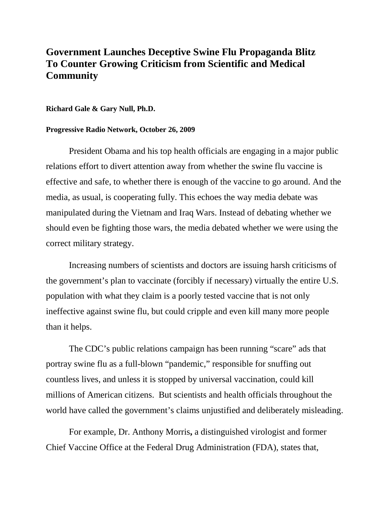## **Government Launches Deceptive Swine Flu Propaganda Blitz To Counter Growing Criticism from Scientific and Medical Community**

## **Richard Gale & Gary Null, Ph.D.**

## **Progressive Radio Network, October 26, 2009**

President Obama and his top health officials are engaging in a major public relations effort to divert attention away from whether the swine flu vaccine is effective and safe, to whether there is enough of the vaccine to go around. And the media, as usual, is cooperating fully. This echoes the way media debate was manipulated during the Vietnam and Iraq Wars. Instead of debating whether we should even be fighting those wars, the media debated whether we were using the correct military strategy.

Increasing numbers of scientists and doctors are issuing harsh criticisms of the government's plan to vaccinate (forcibly if necessary) virtually the entire U.S. population with what they claim is a poorly tested vaccine that is not only ineffective against swine flu, but could cripple and even kill many more people than it helps.

The CDC's public relations campaign has been running "scare" ads that portray swine flu as a full-blown "pandemic," responsible for snuffing out countless lives, and unless it is stopped by universal vaccination, could kill millions of American citizens. But scientists and health officials throughout the world have called the government's claims unjustified and deliberately misleading.

For example, Dr. Anthony Morris**,** a distinguished virologist and former Chief Vaccine Office at the Federal Drug Administration (FDA), states that,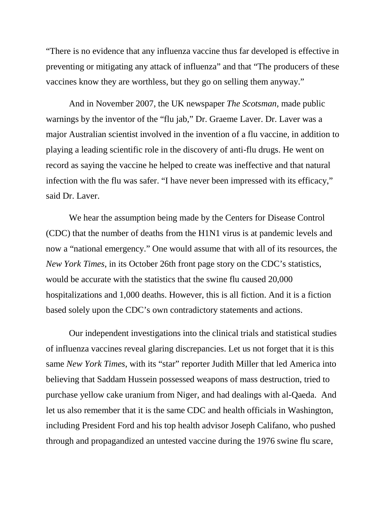"There is no evidence that any influenza vaccine thus far developed is effective in preventing or mitigating any attack of influenza" and that "The producers of these vaccines know they are worthless, but they go on selling them anyway."

And in November 2007, the UK newspaper *The Scotsman*, made public warnings by the inventor of the "flu jab," Dr. Graeme Laver. Dr. Laver was a major Australian scientist involved in the invention of a flu vaccine, in addition to playing a leading scientific role in the discovery of anti-flu drugs. He went on record as saying the vaccine he helped to create was ineffective and that natural infection with the flu was safer. "I have never been impressed with its efficacy," said Dr. Laver.

We hear the assumption being made by the Centers for Disease Control (CDC) that the number of deaths from the H1N1 virus is at pandemic levels and now a "national emergency." One would assume that with all of its resources, the *New York Times*, in its October 26th front page story on the CDC's statistics, would be accurate with the statistics that the swine flu caused 20,000 hospitalizations and 1,000 deaths. However, this is all fiction. And it is a fiction based solely upon the CDC's own contradictory statements and actions.

Our independent investigations into the clinical trials and statistical studies of influenza vaccines reveal glaring discrepancies. Let us not forget that it is this same *New York Times*, with its "star" reporter Judith Miller that led America into believing that Saddam Hussein possessed weapons of mass destruction, tried to purchase yellow cake uranium from Niger, and had dealings with al-Qaeda. And let us also remember that it is the same CDC and health officials in Washington, including President Ford and his top health advisor Joseph Califano, who pushed through and propagandized an untested vaccine during the 1976 swine flu scare,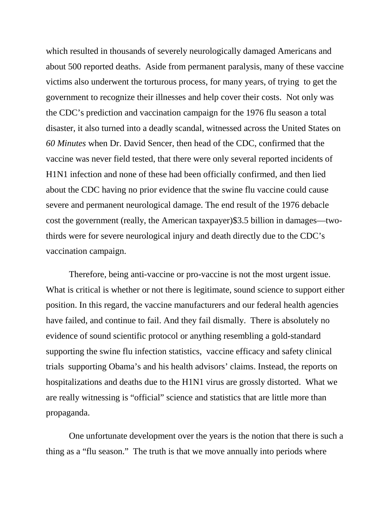which resulted in thousands of severely neurologically damaged Americans and about 500 reported deaths. Aside from permanent paralysis, many of these vaccine victims also underwent the torturous process, for many years, of trying to get the government to recognize their illnesses and help cover their costs. Not only was the CDC's prediction and vaccination campaign for the 1976 flu season a total disaster, it also turned into a deadly scandal, witnessed across the United States on *60 Minutes* when Dr. David Sencer, then head of the CDC, confirmed that the vaccine was never field tested, that there were only several reported incidents of H1N1 infection and none of these had been officially confirmed, and then lied about the CDC having no prior evidence that the swine flu vaccine could cause severe and permanent neurological damage. The end result of the 1976 debacle cost the government (really, the American taxpayer)\$3.5 billion in damages—twothirds were for severe neurological injury and death directly due to the CDC's vaccination campaign.

Therefore, being anti-vaccine or pro-vaccine is not the most urgent issue. What is critical is whether or not there is legitimate, sound science to support either position. In this regard, the vaccine manufacturers and our federal health agencies have failed, and continue to fail. And they fail dismally. There is absolutely no evidence of sound scientific protocol or anything resembling a gold-standard supporting the swine flu infection statistics, vaccine efficacy and safety clinical trials supporting Obama's and his health advisors' claims. Instead, the reports on hospitalizations and deaths due to the H1N1 virus are grossly distorted. What we are really witnessing is "official" science and statistics that are little more than propaganda.

One unfortunate development over the years is the notion that there is such a thing as a "flu season." The truth is that we move annually into periods where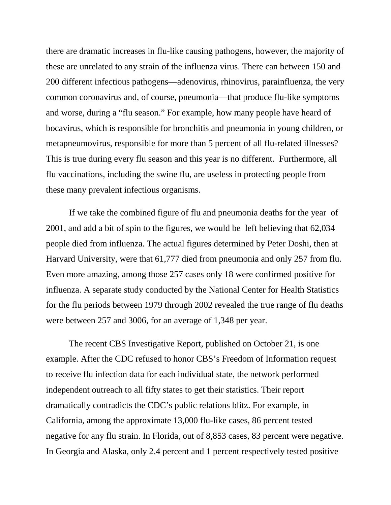there are dramatic increases in flu-like causing pathogens, however, the majority of these are unrelated to any strain of the influenza virus. There can between 150 and 200 different infectious pathogens—adenovirus, rhinovirus, parainfluenza, the very common coronavirus and, of course, pneumonia—that produce flu-like symptoms and worse, during a "flu season." For example, how many people have heard of bocavirus, which is responsible for bronchitis and pneumonia in young children, or metapneumovirus, responsible for more than 5 percent of all flu-related illnesses? This is true during every flu season and this year is no different. Furthermore, all flu vaccinations, including the swine flu, are useless in protecting people from these many prevalent infectious organisms.

If we take the combined figure of flu and pneumonia deaths for the year of 2001, and add a bit of spin to the figures, we would be left believing that 62,034 people died from influenza. The actual figures determined by Peter Doshi, then at Harvard University, were that 61,777 died from pneumonia and only 257 from flu. Even more amazing, among those 257 cases only 18 were confirmed positive for influenza. A separate study conducted by the National Center for Health Statistics for the flu periods between 1979 through 2002 revealed the true range of flu deaths were between 257 and 3006, for an average of 1,348 per year.

The recent CBS Investigative Report, published on October 21, is one example. After the CDC refused to honor CBS's Freedom of Information request to receive flu infection data for each individual state, the network performed independent outreach to all fifty states to get their statistics. Their report dramatically contradicts the CDC's public relations blitz. For example, in California, among the approximate 13,000 flu-like cases, 86 percent tested negative for any flu strain. In Florida, out of 8,853 cases, 83 percent were negative. In Georgia and Alaska, only 2.4 percent and 1 percent respectively tested positive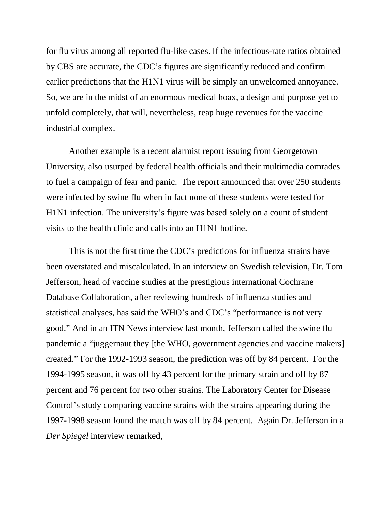for flu virus among all reported flu-like cases. If the infectious-rate ratios obtained by CBS are accurate, the CDC's figures are significantly reduced and confirm earlier predictions that the H1N1 virus will be simply an unwelcomed annoyance. So, we are in the midst of an enormous medical hoax, a design and purpose yet to unfold completely, that will, nevertheless, reap huge revenues for the vaccine industrial complex.

Another example is a recent alarmist report issuing from Georgetown University, also usurped by federal health officials and their multimedia comrades to fuel a campaign of fear and panic. The report announced that over 250 students were infected by swine flu when in fact none of these students were tested for H1N1 infection. The university's figure was based solely on a count of student visits to the health clinic and calls into an H1N1 hotline.

This is not the first time the CDC's predictions for influenza strains have been overstated and miscalculated. In an interview on Swedish television, Dr. Tom Jefferson, head of vaccine studies at the prestigious international Cochrane Database Collaboration, after reviewing hundreds of influenza studies and statistical analyses, has said the WHO's and CDC's "performance is not very good." And in an ITN News interview last month, Jefferson called the swine flu pandemic a "juggernaut they [the WHO, government agencies and vaccine makers] created." For the 1992-1993 season, the prediction was off by 84 percent. For the 1994-1995 season, it was off by 43 percent for the primary strain and off by 87 percent and 76 percent for two other strains. The Laboratory Center for Disease Control's study comparing vaccine strains with the strains appearing during the 1997-1998 season found the match was off by 84 percent. Again Dr. Jefferson in a *Der Spiegel* interview remarked,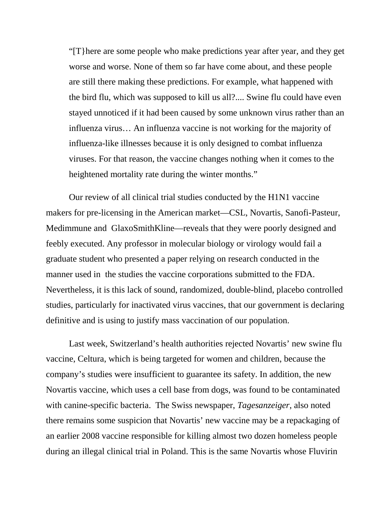"[T}here are some people who make predictions year after year, and they get worse and worse. None of them so far have come about, and these people are still there making these predictions. For example, what happened with the bird flu, which was supposed to kill us all?.... Swine flu could have even stayed unnoticed if it had been caused by some unknown virus rather than an influenza virus… An influenza vaccine is not working for the majority of influenza-like illnesses because it is only designed to combat influenza viruses. For that reason, the vaccine changes nothing when it comes to the heightened mortality rate during the winter months."

Our review of all clinical trial studies conducted by the H1N1 vaccine makers for pre-licensing in the American market—CSL, Novartis, Sanofi-Pasteur, Medimmune and GlaxoSmithKline—reveals that they were poorly designed and feebly executed. Any professor in molecular biology or virology would fail a graduate student who presented a paper relying on research conducted in the manner used in the studies the vaccine corporations submitted to the FDA. Nevertheless, it is this lack of sound, randomized, double-blind, placebo controlled studies, particularly for inactivated virus vaccines, that our government is declaring definitive and is using to justify mass vaccination of our population.

Last week, Switzerland's health authorities rejected Novartis' new swine flu vaccine, Celtura, which is being targeted for women and children, because the company's studies were insufficient to guarantee its safety. In addition, the new Novartis vaccine, which uses a cell base from dogs, was found to be contaminated with canine-specific bacteria. The Swiss newspaper, *Tagesanzeiger*, also noted there remains some suspicion that Novartis' new vaccine may be a repackaging of an earlier 2008 vaccine responsible for killing almost two dozen homeless people during an illegal clinical trial in Poland. This is the same Novartis whose Fluvirin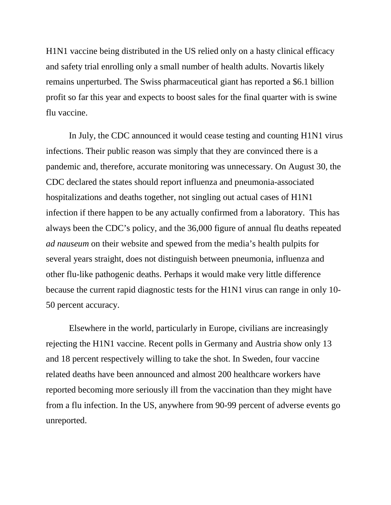H1N1 vaccine being distributed in the US relied only on a hasty clinical efficacy and safety trial enrolling only a small number of health adults. Novartis likely remains unperturbed. The Swiss pharmaceutical giant has reported a \$6.1 billion profit so far this year and expects to boost sales for the final quarter with is swine flu vaccine.

In July, the CDC announced it would cease testing and counting H1N1 virus infections. Their public reason was simply that they are convinced there is a pandemic and, therefore, accurate monitoring was unnecessary. On August 30, the CDC declared the states should report influenza and pneumonia-associated hospitalizations and deaths together, not singling out actual cases of H1N1 infection if there happen to be any actually confirmed from a laboratory. This has always been the CDC's policy, and the 36,000 figure of annual flu deaths repeated *ad nauseum* on their website and spewed from the media's health pulpits for several years straight, does not distinguish between pneumonia, influenza and other flu-like pathogenic deaths. Perhaps it would make very little difference because the current rapid diagnostic tests for the H1N1 virus can range in only 10- 50 percent accuracy.

Elsewhere in the world, particularly in Europe, civilians are increasingly rejecting the H1N1 vaccine. Recent polls in Germany and Austria show only 13 and 18 percent respectively willing to take the shot. In Sweden, four vaccine related deaths have been announced and almost 200 healthcare workers have reported becoming more seriously ill from the vaccination than they might have from a flu infection. In the US, anywhere from 90-99 percent of adverse events go unreported.